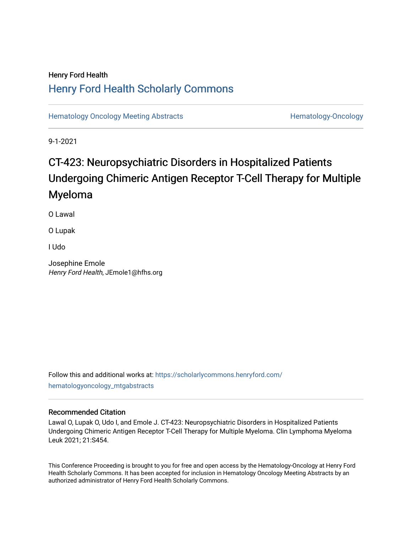## Henry Ford Health [Henry Ford Health Scholarly Commons](https://scholarlycommons.henryford.com/)

[Hematology Oncology Meeting Abstracts](https://scholarlycommons.henryford.com/hematologyoncology_mtgabstracts) **Hematology-Oncology** Hematology-Oncology

9-1-2021

# CT-423: Neuropsychiatric Disorders in Hospitalized Patients Undergoing Chimeric Antigen Receptor T-Cell Therapy for Multiple Myeloma

O Lawal

O Lupak

I Udo

Josephine Emole Henry Ford Health, JEmole1@hfhs.org

Follow this and additional works at: [https://scholarlycommons.henryford.com/](https://scholarlycommons.henryford.com/hematologyoncology_mtgabstracts?utm_source=scholarlycommons.henryford.com%2Fhematologyoncology_mtgabstracts%2F86&utm_medium=PDF&utm_campaign=PDFCoverPages) [hematologyoncology\\_mtgabstracts](https://scholarlycommons.henryford.com/hematologyoncology_mtgabstracts?utm_source=scholarlycommons.henryford.com%2Fhematologyoncology_mtgabstracts%2F86&utm_medium=PDF&utm_campaign=PDFCoverPages) 

## Recommended Citation

Lawal O, Lupak O, Udo I, and Emole J. CT-423: Neuropsychiatric Disorders in Hospitalized Patients Undergoing Chimeric Antigen Receptor T-Cell Therapy for Multiple Myeloma. Clin Lymphoma Myeloma Leuk 2021; 21:S454.

This Conference Proceeding is brought to you for free and open access by the Hematology-Oncology at Henry Ford Health Scholarly Commons. It has been accepted for inclusion in Hematology Oncology Meeting Abstracts by an authorized administrator of Henry Ford Health Scholarly Commons.